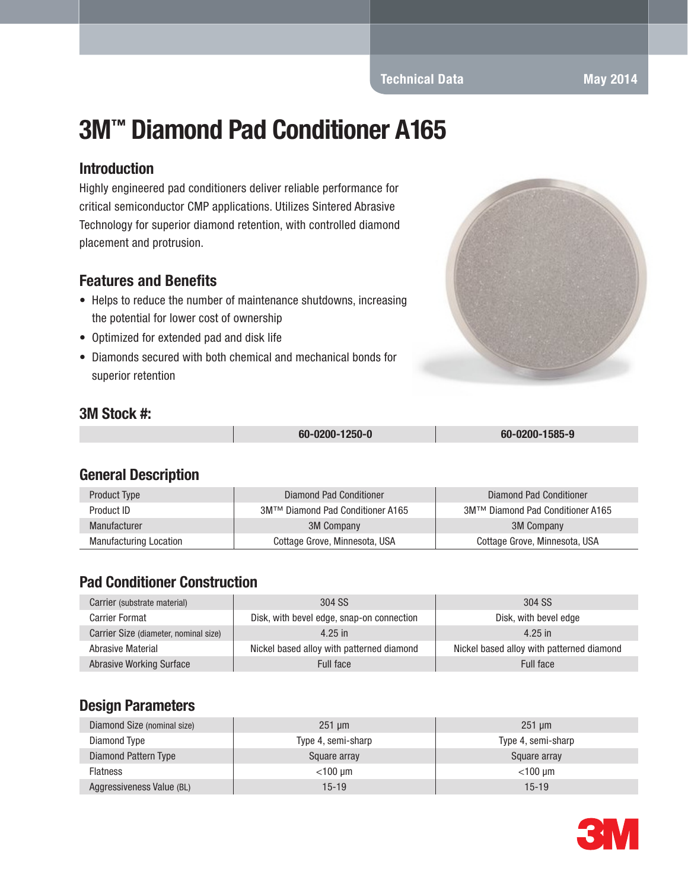# 3M™ Diamond Pad Conditioner A165

#### Introduction

Highly engineered pad conditioners deliver reliable performance for critical semiconductor CMP applications. Utilizes Sintered Abrasive Technology for superior diamond retention, with controlled diamond placement and protrusion.

#### Features and Benefits

- Helps to reduce the number of maintenance shutdowns, increasing the potential for lower cost of ownership
- Optimized for extended pad and disk life
- Diamonds secured with both chemical and mechanical bonds for superior retention

#### 3M Stock #:

| 60-0200-1250-0 | 60-0200-1585-9 |
|----------------|----------------|

### General Description

| Product Type                  | Diamond Pad Conditioner          | Diamond Pad Conditioner          |
|-------------------------------|----------------------------------|----------------------------------|
| Product ID                    | 3M™ Diamond Pad Conditioner A165 | 3M™ Diamond Pad Conditioner A165 |
| Manufacturer                  | <b>3M Company</b>                | 3M Company                       |
| <b>Manufacturing Location</b> | Cottage Grove, Minnesota, USA    | Cottage Grove, Minnesota, USA    |

## Pad Conditioner Construction

| Carrier (substrate material)          | 304 SS                                    | 304 SS                                    |
|---------------------------------------|-------------------------------------------|-------------------------------------------|
| <b>Carrier Format</b>                 | Disk, with bevel edge, snap-on connection | Disk, with bevel edge                     |
| Carrier Size (diameter, nominal size) | $4.25$ in                                 | $4.25$ in                                 |
| <b>Abrasive Material</b>              | Nickel based alloy with patterned diamond | Nickel based alloy with patterned diamond |
| <b>Abrasive Working Surface</b>       | Full face                                 | <b>Full face</b>                          |

### Design Parameters

| Diamond Size (nominal size) | $251 \mu m$        | $251 \text{ µm}$   |
|-----------------------------|--------------------|--------------------|
| Diamond Type                | Type 4, semi-sharp | Type 4, semi-sharp |
| Diamond Pattern Type        | Square array       | Square array       |
| <b>Flatness</b>             | $<$ 100 um         | $<$ 100 um         |
| Aggressiveness Value (BL)   | $15 - 19$          | $15 - 19$          |